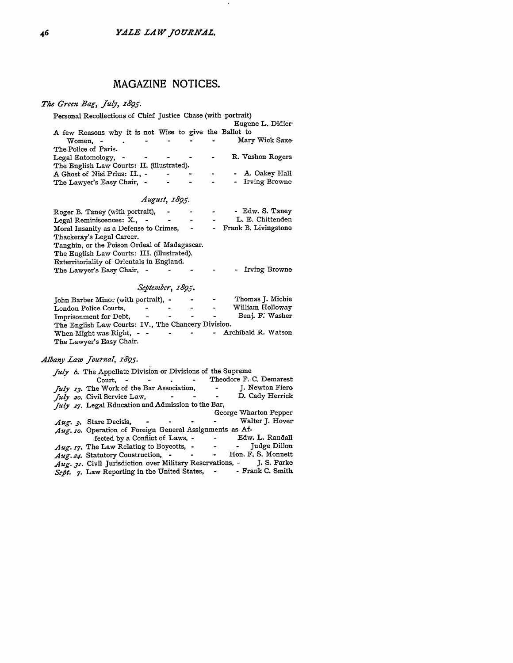$\sim$ 

# **MAGAZINE NOTICES.**

# *The Green Bag, July, 1895.*

| Personal Recollections of Chief Justice Chase (with portrait) |  |  |                         |                  |  |  |
|---------------------------------------------------------------|--|--|-------------------------|------------------|--|--|
|                                                               |  |  |                         | Eugene L. Didier |  |  |
| A few Reasons why it is not Wise to give the Ballot to        |  |  |                         |                  |  |  |
| Women. -                                                      |  |  | $\sim$                  | Mary Wick Saxe   |  |  |
| The Police of Paris.                                          |  |  |                         |                  |  |  |
| Legal Entomology, -                                           |  |  | $\sim 100$ km s $^{-1}$ | R. Vashon Rogers |  |  |
| The English Law Courts: II. (illustrated).                    |  |  |                         |                  |  |  |
| A Ghost of Nisi Prius: II., -                                 |  |  |                         | - A. Oakey Hall  |  |  |
| The Lawyer's Easy Chair, -                                    |  |  |                         | - Irving Browne  |  |  |

### *August, 1895.*

| Roger B. Taney (with portrait),<br>Legal Reminiscences: X., -<br>Moral Insanity as a Defense to Crimes,<br>$\blacksquare$ | - Edw. S. Taney<br>L. E. Chittenden<br>- Frank B. Livingstone |
|---------------------------------------------------------------------------------------------------------------------------|---------------------------------------------------------------|
| Thackeray's Legal Career.<br>Tanghin, or the Poison Ordeal of Madagascar.                                                 |                                                               |
| The English Law Courts: III. (illustrated).<br>Exterritoriality of Orientals in England.<br>The Lawyer's Easy Chair, -    | - Irving Browne                                               |

### *September, 1895.*

| John Barber Minor (with portrait), -                |           |                | <b>Contract Contract</b> | $\sim$    | Thomas J. Michie      |
|-----------------------------------------------------|-----------|----------------|--------------------------|-----------|-----------------------|
| London Police Courts,                               | $\bullet$ | ٠              | -                        | $\sim$    | William Holloway      |
| Imprisonment for Debt,                              | $\bullet$ |                |                          | $\bullet$ | Beni. F. Washer       |
| The English Law Courts: IV., The Chancery Division. |           |                |                          |           |                       |
| When Might was Right, $-$                           |           | $\blacksquare$ |                          |           | - Archibald R. Watson |
| The Lawyer's Easy Chair.                            |           |                |                          |           |                       |

## *Albany Law Jouinal, z895.*

| July 6. The Appellate Division or Divisions of the Supreme            |                                                                      |
|-----------------------------------------------------------------------|----------------------------------------------------------------------|
| Court, - - - . - Theodore F. C. Demarest                              |                                                                      |
| <i>July 13.</i> The Work of the Bar Association,                      | J. Newton Fiero<br><b>Contract Advised Service</b>                   |
| <i>July 20.</i> Civil Service Law,                                    | D. Cady Herrick<br><b>Contract Contract</b>                          |
| July 27. Legal Education and Admission to the Bar,                    |                                                                      |
|                                                                       | George Wharton Pepper                                                |
| $Aug. 3. \text{ Stare Decisis},$ - - -                                | Walter J. Hover<br>$\frac{1}{2}$ and $\frac{1}{2}$ and $\frac{1}{2}$ |
| Aug. 10. Operation of Foreign General Assignments as Af-              |                                                                      |
| fected by a Conflict of Laws, -                                       | - Edw. L. Randall                                                    |
| Aug. 17. The Law Relating to Boycotts, -                              | - - Judge Dillon                                                     |
| Aug. 24. Statutory Construction, -<br>$\blacksquare$                  | - Hon. F. S. Monnett                                                 |
| Aug. 31. Civil Jurisdiction over Military Reservations, - J. S. Parke |                                                                      |
| Sept. 7. Law Reporting in the United States, - - Frank C. Smith       |                                                                      |
|                                                                       |                                                                      |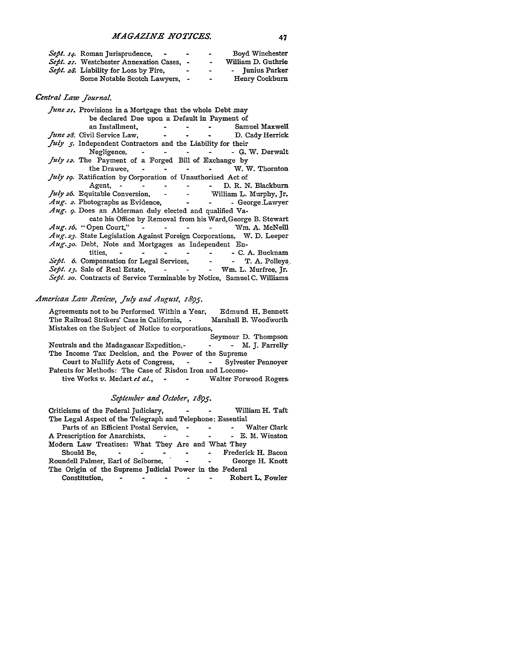| Sept. 14. Roman Jurisprudence,<br>$\blacksquare$ | $\bullet$ | $\bullet$ | Boyd Winchester    |
|--------------------------------------------------|-----------|-----------|--------------------|
| <i>Sept. 21.</i> Westchester Annexation Cases. - |           | $\bullet$ | William D. Guthrie |
| Sept. 28. Liability for Loss by Fire.            |           | $\bullet$ | - Junius Parker    |
| Some Notable Scotch Lawyers, -                   |           | $\bullet$ | Henry Cockburn     |

# *Central Law Journal.*

| June 21. Provisions in a Mortgage that the whole Debt may                                                                                                                                                                          |                                                             |
|------------------------------------------------------------------------------------------------------------------------------------------------------------------------------------------------------------------------------------|-------------------------------------------------------------|
| be declared Due upon a Default in Payment of                                                                                                                                                                                       |                                                             |
|                                                                                                                                                                                                                                    | an Installment, The Community of Samuel Maxwell             |
| <i>June 28.</i> Civil Service Law, The Contract of the Contract of the Contract of the Contract of the Contract of the Contract of the Contract of the Contract of the Contract of the Contract of the Contract of the Contract of | D. Cady Herrick                                             |
| July 5. Independent Contractors and the Liability for their                                                                                                                                                                        |                                                             |
| Negligence, $\cdot$ $\cdot$ $\cdot$ $\cdot$ $\cdot$ $\cdot$                                                                                                                                                                        | - G. W. Derwalt                                             |
| <i>July 12.</i> The Payment of a Forged Bill of Exchange by                                                                                                                                                                        |                                                             |
|                                                                                                                                                                                                                                    | the Drawee, - - - - - W. W. Thornton                        |
| July 19. Ratification by Corporation of Unauthorized Act of                                                                                                                                                                        |                                                             |
|                                                                                                                                                                                                                                    | Agent, - - - - - - D. R. N. Blackburn                       |
| <i>July 26.</i> Equitable Conversion, - - William L. Murphy, Jr.                                                                                                                                                                   |                                                             |
| Aug. 2. Photographs as Evidence, 1988. 1997. The George Lawyer                                                                                                                                                                     |                                                             |
| Aug. 9. Does an Alderman duly elected and qualified Va-                                                                                                                                                                            |                                                             |
|                                                                                                                                                                                                                                    | cate his Office by Removal from his Ward, George B. Stewart |
| Aug. 16. "Open Court," - - - - - - Wm. A. McNeill                                                                                                                                                                                  |                                                             |
| Aug. 23. State Legislation Against Foreign Corporations. W. D. Leeper                                                                                                                                                              |                                                             |
| Aug. 30. Debt, Note and Mortgages as Independent En-                                                                                                                                                                               |                                                             |
|                                                                                                                                                                                                                                    |                                                             |
| Sept. 6. Compensation for Legal Services, - - T. A. Polleys                                                                                                                                                                        |                                                             |
| Sept. 13. Sale of Real Estate, - - - - Wm. L. Murfree, Jr.                                                                                                                                                                         |                                                             |
| Sept. 20. Contracts of Service Terminable by Notice, Samuel C. Williams                                                                                                                                                            |                                                             |

# *American Law .Review, July and August, 1895.*

| Agreements not to be Performed Within a Year,<br>Edmund H. Bennett       |  |  |  |  |  |
|--------------------------------------------------------------------------|--|--|--|--|--|
| The Railroad Strikers' Case in California, .<br>Marshall B. Woodworth    |  |  |  |  |  |
| Mistakes on the Subject of Notice to corporations,                       |  |  |  |  |  |
| Seymour D. Thompson                                                      |  |  |  |  |  |
| - M. J. Farrelly<br>Neutrals and the Madagascar Expedition.-             |  |  |  |  |  |
| The Income Tax Decision, and the Power of the Supreme                    |  |  |  |  |  |
| Court to Nullify Acts of Congress, - - Sylvester Pennover                |  |  |  |  |  |
| Patents for Methods: The Case of Risdon Iron and Locomo-                 |  |  |  |  |  |
| tive Works v. Medart et al., -<br>Walter Forwood Rogers<br>$\sim$ $\sim$ |  |  |  |  |  |

## *September and October, z895.*

| Criticisms of the Federal Judiciary,                       |                                   |                                  | William H. Taft      |
|------------------------------------------------------------|-----------------------------------|----------------------------------|----------------------|
| The Legal Aspect of the Telegraph and Telephone: Essential |                                   |                                  |                      |
| Parts of an Efficient Postal Service, -                    |                                   |                                  | - - Walter Clark     |
| A Prescription for Anarchists.                             | $\overline{\phantom{a}}$          | $\sim$ 0.000 $\sim$ 0.000 $\sim$ | - E. M. Winston      |
| Modern Law Treatises: What They Are and What They          |                                   |                                  |                      |
| Should Be.                                                 |                                   |                                  | - Frederick H. Bacon |
| Roundell Palmer, Earl of Selborne,                         | $\sim$ $\sim$ $\sim$              |                                  | George H. Knott      |
| The Origin of the Supreme Judicial Power in the Federal    |                                   |                                  |                      |
| Constitution,                                              | and the state of the state of the |                                  | Robert L. Fowler     |